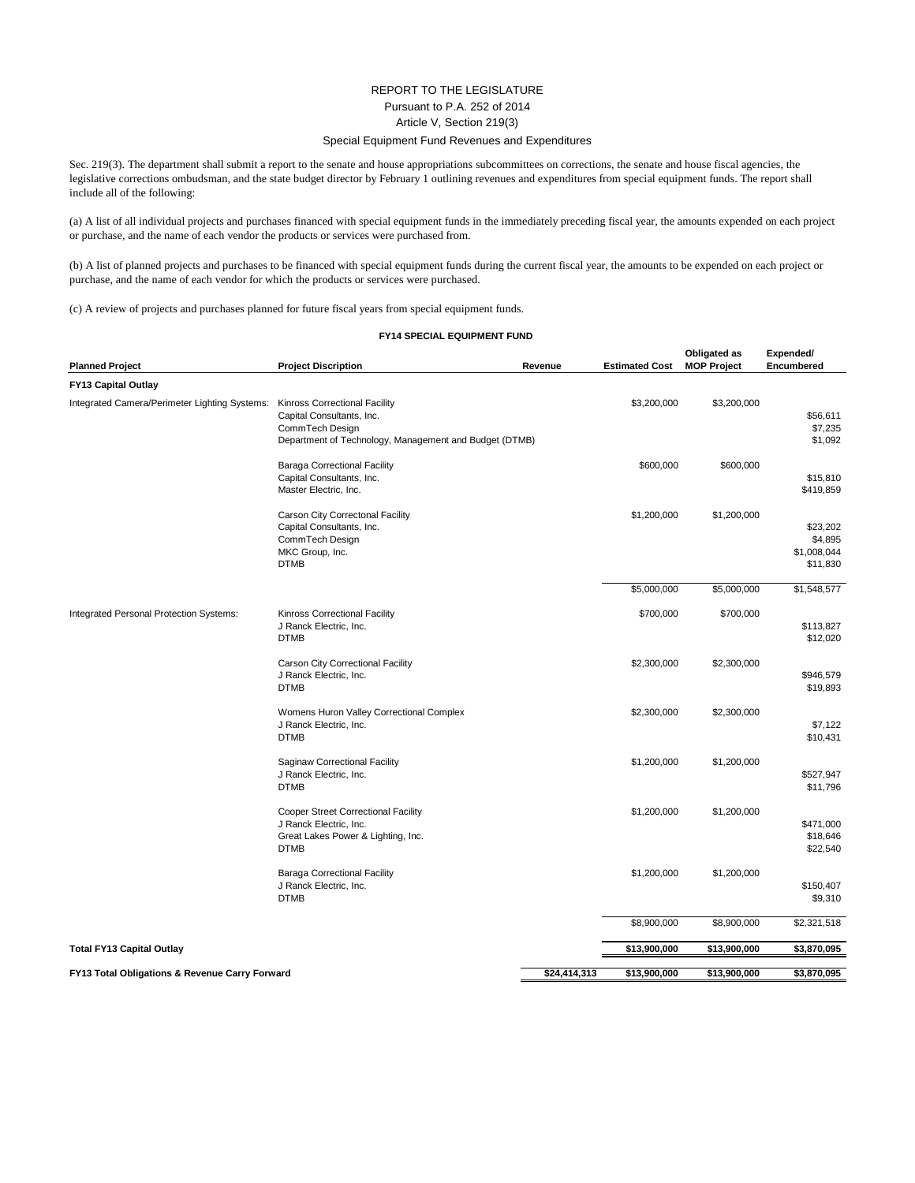## REPORT TO THE LEGISLATURE Pursuant to P.A. 252 of 2014 Article V, Section 219(3) Special Equipment Fund Revenues and Expenditures

Sec. 219(3). The department shall submit a report to the senate and house appropriations subcommittees on corrections, the senate and house fiscal agencies, the legislative corrections ombudsman, and the state budget director by February 1 outlining revenues and expenditures from special equipment funds. The report shall include all of the following:

(a) A list of all individual projects and purchases financed with special equipment funds in the immediately preceding fiscal year, the amounts expended on each project or purchase, and the name of each vendor the products or services were purchased from.

(b) A list of planned projects and purchases to be financed with special equipment funds during the current fiscal year, the amounts to be expended on each project or purchase, and the name of each vendor for which the products or services were purchased.

(c) A review of projects and purchases planned for future fiscal years from special equipment funds.

## **FY14 SPECIAL EQUIPMENT FUND**

| <b>Planned Project</b>                         | <b>Project Discription</b>                                                                                                                     | Revenue      | <b>Estimated Cost</b> | Obligated as<br><b>MOP Project</b> | Expended/<br>Encumbered                        |
|------------------------------------------------|------------------------------------------------------------------------------------------------------------------------------------------------|--------------|-----------------------|------------------------------------|------------------------------------------------|
| <b>FY13 Capital Outlay</b>                     |                                                                                                                                                |              |                       |                                    |                                                |
| Integrated Camera/Perimeter Lighting Systems:  | <b>Kinross Correctional Facility</b><br>Capital Consultants, Inc.<br>CommTech Design<br>Department of Technology, Management and Budget (DTMB) |              | \$3,200,000           | \$3,200,000                        | \$56,611<br>\$7,235<br>\$1,092                 |
|                                                | <b>Baraga Correctional Facility</b><br>Capital Consultants, Inc.<br>Master Electric, Inc.                                                      |              | \$600,000             | \$600,000                          | \$15,810<br>\$419,859                          |
|                                                | Carson City Correctonal Facility<br>Capital Consultants, Inc.<br>CommTech Design<br>MKC Group, Inc.<br><b>DTMB</b>                             |              | \$1,200,000           | \$1,200,000                        | \$23,202<br>\$4,895<br>\$1,008,044<br>\$11,830 |
|                                                |                                                                                                                                                |              | \$5,000,000           | \$5,000,000                        | \$1,548,577                                    |
| Integrated Personal Protection Systems:        | Kinross Correctional Facility<br>J Ranck Electric, Inc.<br><b>DTMB</b>                                                                         |              | \$700,000             | \$700,000                          | \$113,827<br>\$12,020                          |
|                                                | Carson City Correctional Facility<br>J Ranck Electric, Inc.<br><b>DTMB</b>                                                                     |              | \$2,300,000           | \$2,300,000                        | \$946,579<br>\$19,893                          |
|                                                | Womens Huron Valley Correctional Complex<br>J Ranck Electric, Inc.<br><b>DTMB</b>                                                              |              | \$2,300,000           | \$2,300,000                        | \$7,122<br>\$10,431                            |
|                                                | Saginaw Correctional Facility<br>J Ranck Electric, Inc.<br><b>DTMB</b>                                                                         |              | \$1,200,000           | \$1,200,000                        | \$527,947<br>\$11,796                          |
|                                                | Cooper Street Correctional Facility<br>J Ranck Electric, Inc.<br>Great Lakes Power & Lighting, Inc.<br><b>DTMB</b>                             |              | \$1,200,000           | \$1,200,000                        | \$471,000<br>\$18,646<br>\$22,540              |
|                                                | <b>Baraga Correctional Facility</b><br>J Ranck Electric, Inc.<br><b>DTMB</b>                                                                   |              | \$1,200,000           | \$1,200,000                        | \$150,407<br>\$9,310                           |
|                                                |                                                                                                                                                |              | \$8,900,000           | \$8,900,000                        | \$2,321,518                                    |
| <b>Total FY13 Capital Outlay</b>               |                                                                                                                                                |              | \$13,900,000          | \$13,900,000                       | \$3,870,095                                    |
| FY13 Total Obligations & Revenue Carry Forward |                                                                                                                                                | \$24,414,313 | \$13,900,000          | \$13,900,000                       | \$3,870,095                                    |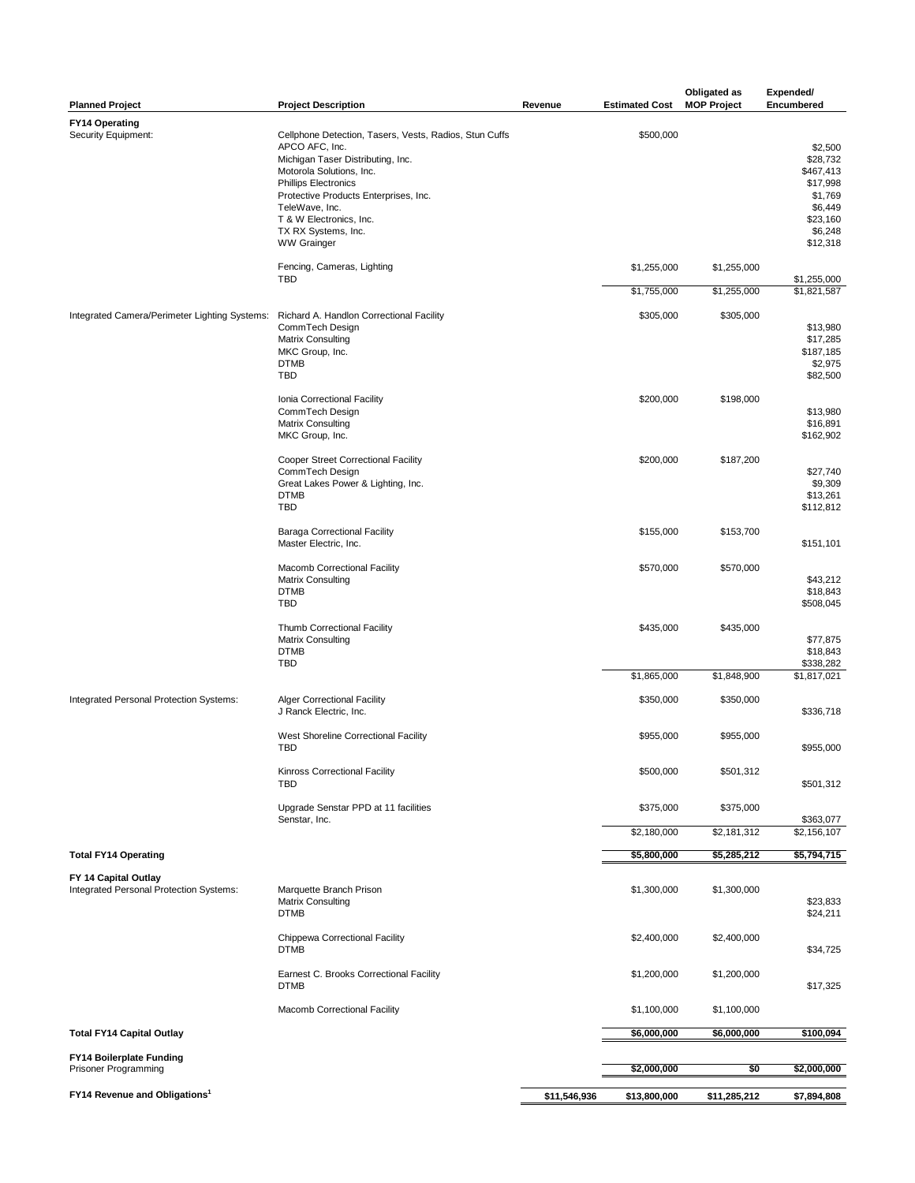| <b>Planned Project</b>                                          | <b>Project Description</b>                                                                                                                                                                 | Revenue      | <b>Estimated Cost</b>    | Obligated as<br><b>MOP Project</b> | Expended/<br>Encumbered                                                        |
|-----------------------------------------------------------------|--------------------------------------------------------------------------------------------------------------------------------------------------------------------------------------------|--------------|--------------------------|------------------------------------|--------------------------------------------------------------------------------|
| <b>FY14 Operating</b><br>Security Equipment:                    | Cellphone Detection, Tasers, Vests, Radios, Stun Cuffs<br>APCO AFC, Inc.<br>Michigan Taser Distributing, Inc.                                                                              |              | \$500,000                |                                    | \$2,500<br>\$28,732                                                            |
|                                                                 | Motorola Solutions, Inc.<br><b>Phillips Electronics</b><br>Protective Products Enterprises, Inc.<br>TeleWave, Inc.<br>T & W Electronics, Inc.<br>TX RX Systems, Inc.<br><b>WW Grainger</b> |              |                          |                                    | \$467.413<br>\$17,998<br>\$1,769<br>\$6,449<br>\$23,160<br>\$6,248<br>\$12,318 |
|                                                                 | Fencing, Cameras, Lighting                                                                                                                                                                 |              | \$1,255,000              | \$1,255,000                        |                                                                                |
|                                                                 | <b>TBD</b>                                                                                                                                                                                 |              | \$1,755,000              | \$1,255,000                        | \$1,255,000<br>\$1,821,587                                                     |
| Integrated Camera/Perimeter Lighting Systems:                   | Richard A. Handlon Correctional Facility<br>CommTech Design<br><b>Matrix Consulting</b><br>MKC Group, Inc.<br><b>DTMB</b>                                                                  |              | \$305,000                | \$305,000                          | \$13,980<br>\$17,285<br>\$187,185<br>\$2,975                                   |
|                                                                 | <b>TBD</b>                                                                                                                                                                                 |              |                          |                                    | \$82,500                                                                       |
|                                                                 | Ionia Correctional Facility<br>CommTech Design<br><b>Matrix Consulting</b><br>MKC Group, Inc.                                                                                              |              | \$200,000                | \$198,000                          | \$13,980<br>\$16,891<br>\$162,902                                              |
|                                                                 | Cooper Street Correctional Facility<br>CommTech Design<br>Great Lakes Power & Lighting, Inc.<br><b>DTMB</b><br><b>TBD</b>                                                                  |              | \$200,000                | \$187,200                          | \$27,740<br>\$9,309<br>\$13,261<br>\$112,812                                   |
|                                                                 | <b>Baraga Correctional Facility</b><br>Master Electric, Inc.                                                                                                                               |              | \$155,000                | \$153,700                          | \$151,101                                                                      |
|                                                                 | Macomb Correctional Facility<br><b>Matrix Consulting</b><br><b>DTMB</b><br><b>TBD</b>                                                                                                      |              | \$570,000                | \$570,000                          | \$43,212<br>\$18,843<br>\$508,045                                              |
|                                                                 | Thumb Correctional Facility<br><b>Matrix Consulting</b><br><b>DTMB</b><br><b>TBD</b>                                                                                                       |              | \$435,000                | \$435,000                          | \$77,875<br>\$18,843<br>\$338,282                                              |
|                                                                 |                                                                                                                                                                                            |              | \$1,865,000              | \$1,848,900                        | \$1,817,021                                                                    |
| Integrated Personal Protection Systems:                         | <b>Alger Correctional Facility</b><br>J Ranck Electric, Inc.                                                                                                                               |              | \$350,000                | \$350,000                          | \$336,718                                                                      |
|                                                                 | West Shoreline Correctional Facility<br><b>TBD</b>                                                                                                                                         |              | \$955,000                | \$955,000                          | \$955,000                                                                      |
|                                                                 | Kinross Correctional Facility<br>TBD                                                                                                                                                       |              | \$500,000                | \$501,312                          | \$501,312                                                                      |
|                                                                 | Upgrade Senstar PPD at 11 facilities<br>Senstar, Inc.                                                                                                                                      |              | \$375,000<br>\$2,180,000 | \$375,000<br>\$2,181,312           | \$363,077<br>\$2,156,107                                                       |
| <b>Total FY14 Operating</b>                                     |                                                                                                                                                                                            |              | \$5,800,000              | \$5,285,212                        | \$5,794,715                                                                    |
|                                                                 |                                                                                                                                                                                            |              |                          |                                    |                                                                                |
| FY 14 Capital Outlay<br>Integrated Personal Protection Systems: | Marquette Branch Prison<br><b>Matrix Consulting</b><br><b>DTMB</b>                                                                                                                         |              | \$1,300,000              | \$1,300,000                        | \$23,833<br>\$24,211                                                           |
|                                                                 | Chippewa Correctional Facility<br><b>DTMB</b>                                                                                                                                              |              | \$2,400,000              | \$2,400,000                        | \$34,725                                                                       |
|                                                                 | Earnest C. Brooks Correctional Facility<br><b>DTMB</b>                                                                                                                                     |              | \$1,200,000              | \$1,200,000                        | \$17,325                                                                       |
|                                                                 | Macomb Correctional Facility                                                                                                                                                               |              | \$1,100,000              | \$1,100,000                        |                                                                                |
| <b>Total FY14 Capital Outlay</b>                                |                                                                                                                                                                                            |              | \$6,000,000              | \$6,000,000                        | \$100,094                                                                      |
| FY14 Boilerplate Funding<br>Prisoner Programming                |                                                                                                                                                                                            |              | \$2,000,000              | \$0                                | \$2,000,000                                                                    |
| FY14 Revenue and Obligations <sup>1</sup>                       |                                                                                                                                                                                            | \$11,546,936 | \$13,800,000             | \$11,285,212                       | \$7,894,808                                                                    |